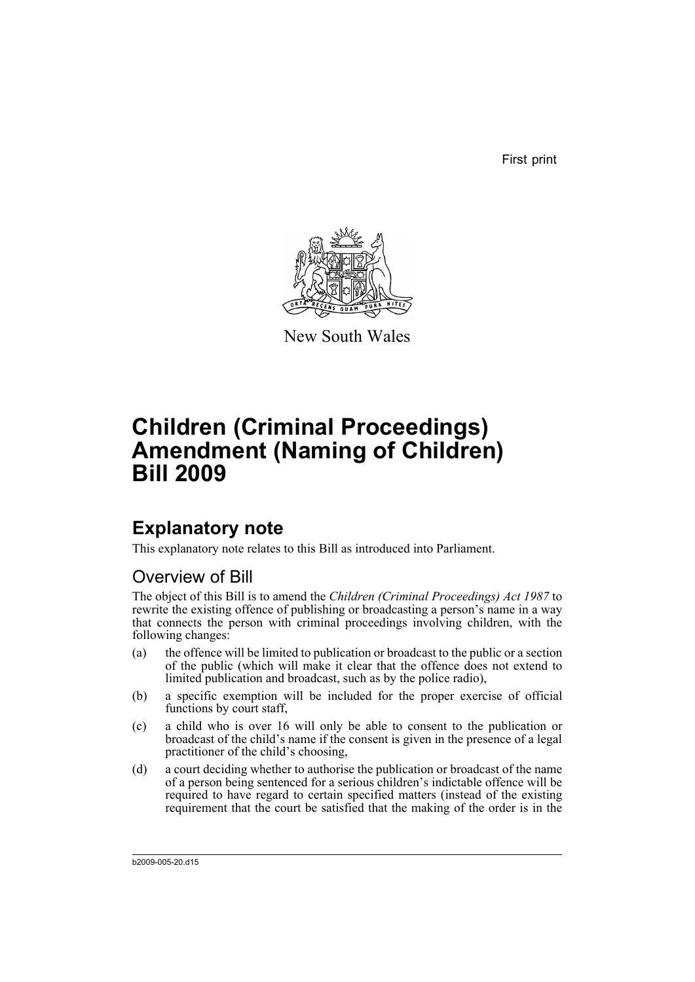First print



New South Wales

# **Children (Criminal Proceedings) Amendment (Naming of Children) Bill 2009**

## **Explanatory note**

This explanatory note relates to this Bill as introduced into Parliament.

## Overview of Bill

The object of this Bill is to amend the *Children (Criminal Proceedings) Act 1987* to rewrite the existing offence of publishing or broadcasting a person's name in a way that connects the person with criminal proceedings involving children, with the following changes:

- (a) the offence will be limited to publication or broadcast to the public or a section of the public (which will make it clear that the offence does not extend to limited publication and broadcast, such as by the police radio),
- (b) a specific exemption will be included for the proper exercise of official functions by court staff,
- (c) a child who is over 16 will only be able to consent to the publication or broadcast of the child's name if the consent is given in the presence of a legal practitioner of the child's choosing,
- (d) a court deciding whether to authorise the publication or broadcast of the name of a person being sentenced for a serious children's indictable offence will be required to have regard to certain specified matters (instead of the existing requirement that the court be satisfied that the making of the order is in the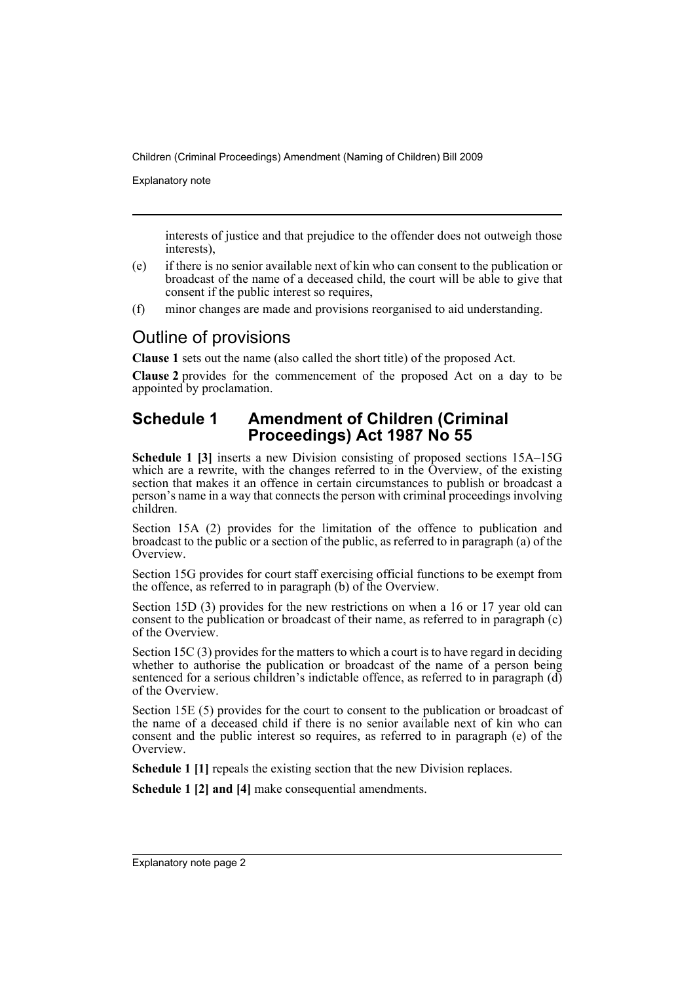Explanatory note

interests of justice and that prejudice to the offender does not outweigh those interests),

- (e) if there is no senior available next of kin who can consent to the publication or broadcast of the name of a deceased child, the court will be able to give that consent if the public interest so requires,
- (f) minor changes are made and provisions reorganised to aid understanding.

### Outline of provisions

**Clause 1** sets out the name (also called the short title) of the proposed Act.

**Clause 2** provides for the commencement of the proposed Act on a day to be appointed by proclamation.

#### **Schedule 1 Amendment of Children (Criminal Proceedings) Act 1987 No 55**

**Schedule 1 [3]** inserts a new Division consisting of proposed sections 15A–15G which are a rewrite, with the changes referred to in the Overview, of the existing section that makes it an offence in certain circumstances to publish or broadcast a person's name in a way that connects the person with criminal proceedings involving children.

Section 15A (2) provides for the limitation of the offence to publication and broadcast to the public or a section of the public, as referred to in paragraph (a) of the Overview.

Section 15G provides for court staff exercising official functions to be exempt from the offence, as referred to in paragraph (b) of the Overview.

Section 15D (3) provides for the new restrictions on when a 16 or 17 year old can consent to the publication or broadcast of their name, as referred to in paragraph (c) of the Overview.

Section 15C (3) provides for the matters to which a court is to have regard in deciding whether to authorise the publication or broadcast of the name of a person being sentenced for a serious children's indictable offence, as referred to in paragraph  $(d)$ of the Overview.

Section 15E (5) provides for the court to consent to the publication or broadcast of the name of a deceased child if there is no senior available next of kin who can consent and the public interest so requires, as referred to in paragraph (e) of the **Overview** 

**Schedule 1 [1]** repeals the existing section that the new Division replaces.

**Schedule 1 [2] and [4]** make consequential amendments.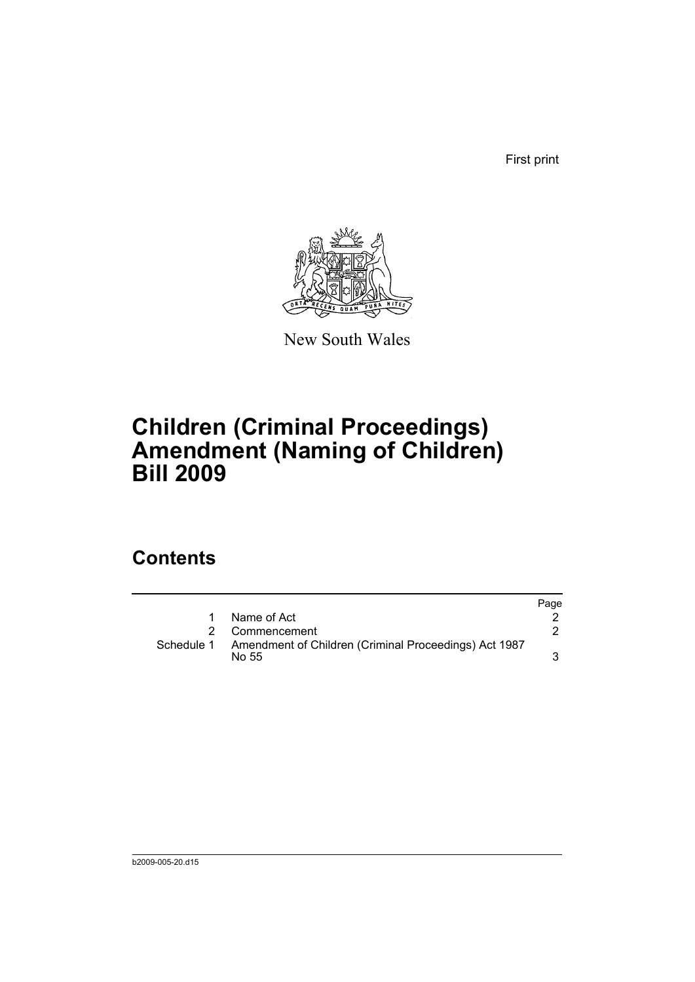First print



New South Wales

## **Children (Criminal Proceedings) Amendment (Naming of Children) Bill 2009**

## **Contents**

|   |                                                                           | Page |
|---|---------------------------------------------------------------------------|------|
| 1 | Name of Act                                                               |      |
|   | 2 Commencement                                                            |      |
|   | Schedule 1 Amendment of Children (Criminal Proceedings) Act 1987<br>No 55 |      |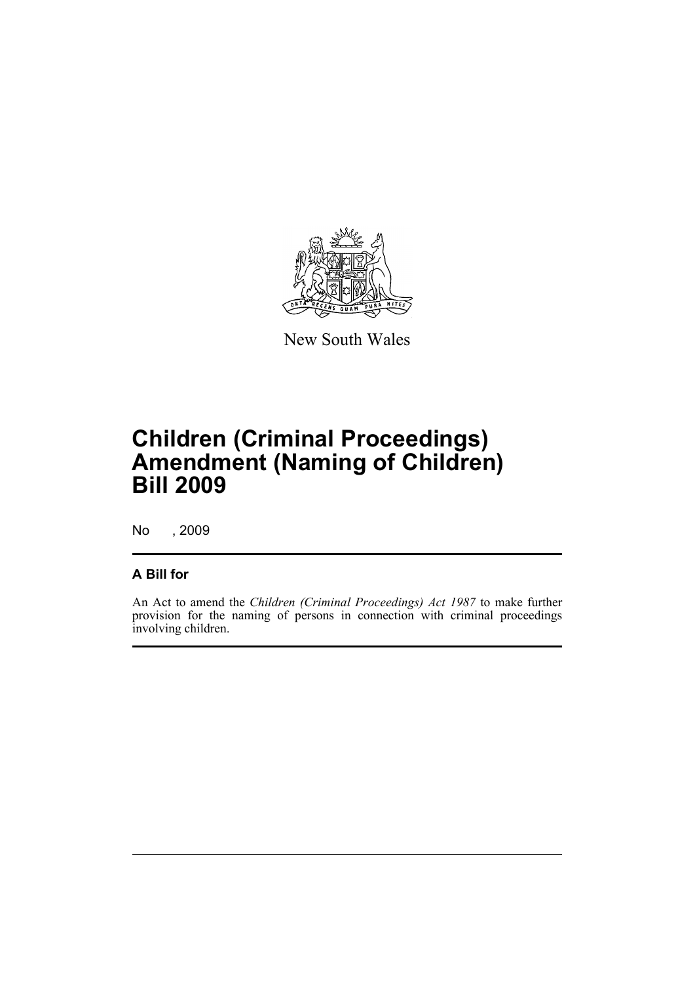

New South Wales

# **Children (Criminal Proceedings) Amendment (Naming of Children) Bill 2009**

No , 2009

#### **A Bill for**

An Act to amend the *Children (Criminal Proceedings) Act 1987* to make further provision for the naming of persons in connection with criminal proceedings involving children.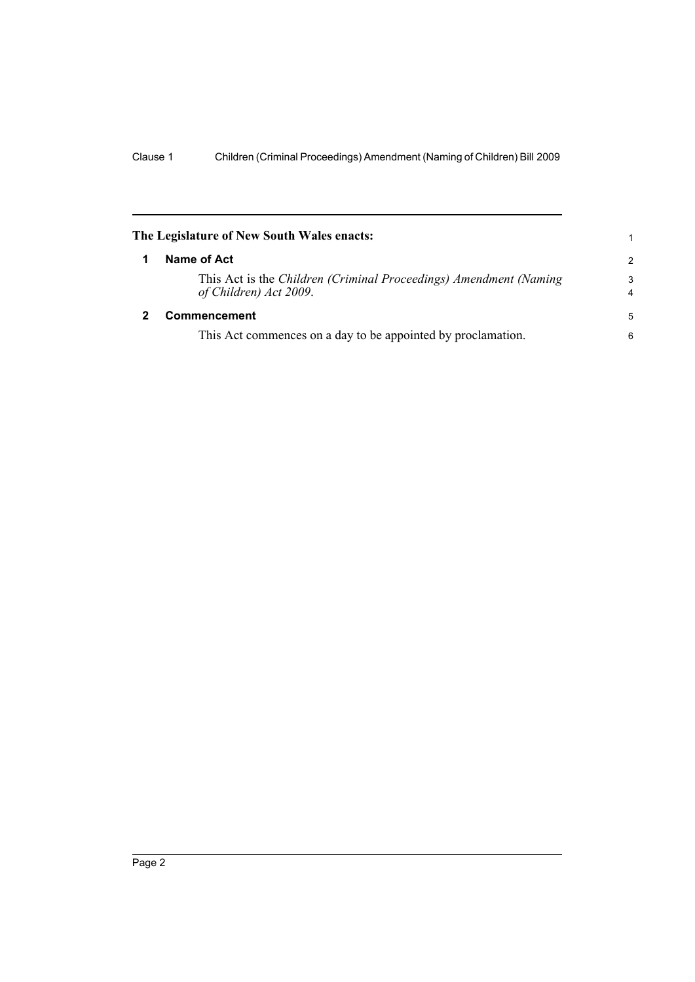<span id="page-5-1"></span><span id="page-5-0"></span>

|   | The Legislature of New South Wales enacts:                                                  | 1             |
|---|---------------------------------------------------------------------------------------------|---------------|
| 1 | Name of Act                                                                                 | $\mathcal{P}$ |
|   | This Act is the Children (Criminal Proceedings) Amendment (Naming<br>of Children) Act 2009. | 3<br>4        |
|   | <b>Commencement</b>                                                                         | 5             |
|   | This Act commences on a day to be appointed by proclamation.                                | 6             |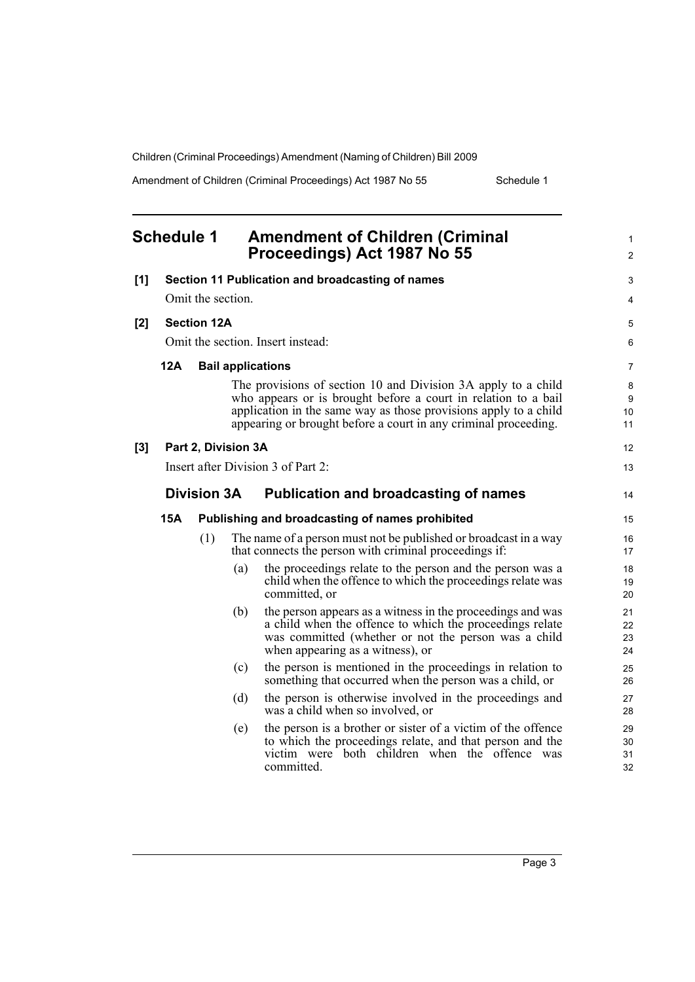Amendment of Children (Criminal Proceedings) Act 1987 No 55 Schedule 1

<span id="page-6-0"></span>

|       | <b>Schedule 1</b>                 |                    |                     | <b>Amendment of Children (Criminal</b><br>Proceedings) Act 1987 No 55                                                                                                                                                                                                  | 1<br>$\overline{2}$  |
|-------|-----------------------------------|--------------------|---------------------|------------------------------------------------------------------------------------------------------------------------------------------------------------------------------------------------------------------------------------------------------------------------|----------------------|
| [1]   |                                   |                    |                     | Section 11 Publication and broadcasting of names                                                                                                                                                                                                                       | 3                    |
|       |                                   | Omit the section.  |                     |                                                                                                                                                                                                                                                                        | 4                    |
| [2]   | <b>Section 12A</b>                |                    |                     |                                                                                                                                                                                                                                                                        | 5                    |
|       | Omit the section. Insert instead: |                    |                     |                                                                                                                                                                                                                                                                        |                      |
|       | <b>12A</b>                        |                    |                     | <b>Bail applications</b>                                                                                                                                                                                                                                               | 7                    |
|       |                                   |                    |                     | The provisions of section 10 and Division 3A apply to a child<br>who appears or is brought before a court in relation to a bail<br>application in the same way as those provisions apply to a child<br>appearing or brought before a court in any criminal proceeding. | 8<br>9<br>10<br>11   |
| $[3]$ |                                   |                    | Part 2, Division 3A |                                                                                                                                                                                                                                                                        | 12                   |
|       |                                   |                    |                     | Insert after Division 3 of Part 2:                                                                                                                                                                                                                                     | 13                   |
|       |                                   | <b>Division 3A</b> |                     | <b>Publication and broadcasting of names</b>                                                                                                                                                                                                                           | 14                   |
|       | <b>15A</b>                        |                    |                     | Publishing and broadcasting of names prohibited                                                                                                                                                                                                                        | 15                   |
|       |                                   | (1)                |                     | The name of a person must not be published or broadcast in a way<br>that connects the person with criminal proceedings if:                                                                                                                                             | 16<br>17             |
|       |                                   |                    | (a)                 | the proceedings relate to the person and the person was a<br>child when the offence to which the proceedings relate was<br>committed, or                                                                                                                               | 18<br>19<br>20       |
|       |                                   |                    | (b)                 | the person appears as a witness in the proceedings and was<br>a child when the offence to which the proceedings relate<br>was committed (whether or not the person was a child<br>when appearing as a witness), or                                                     | 21<br>22<br>23<br>24 |
|       |                                   |                    | (c)                 | the person is mentioned in the proceedings in relation to<br>something that occurred when the person was a child, or                                                                                                                                                   | 25<br>26             |
|       |                                   |                    | (d)                 | the person is otherwise involved in the proceedings and<br>was a child when so involved, or                                                                                                                                                                            | 27<br>28             |
|       |                                   |                    | (e)                 | the person is a brother or sister of a victim of the offence<br>to which the proceedings relate, and that person and the<br>victim were both children when the offence was<br>committed.                                                                               | 29<br>30<br>31<br>32 |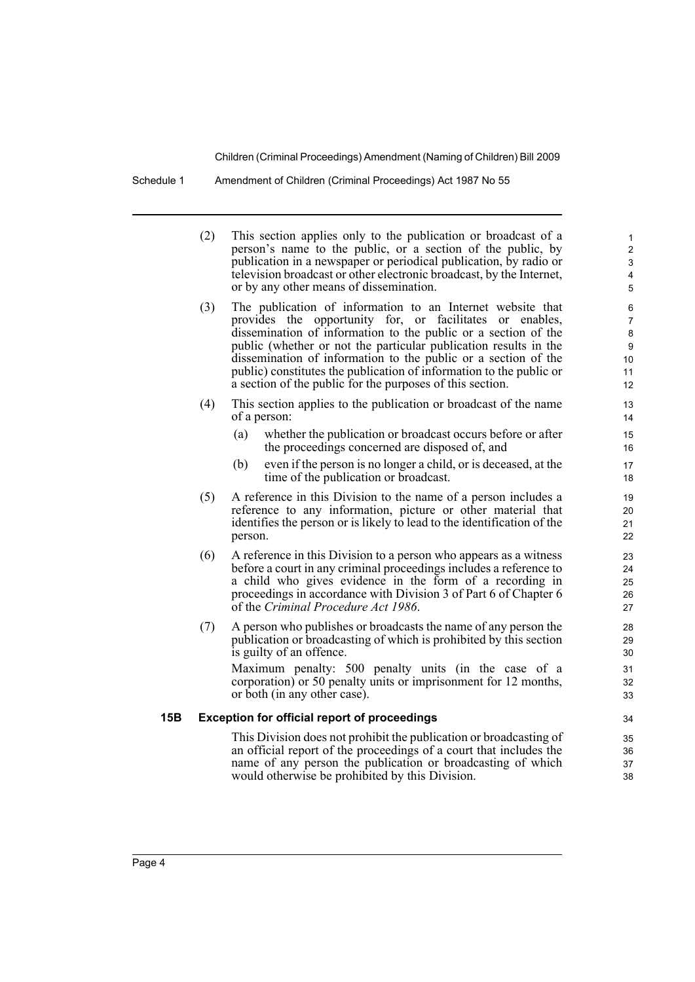Schedule 1 Amendment of Children (Criminal Proceedings) Act 1987 No 55

|     | (2) | This section applies only to the publication or broadcast of a<br>person's name to the public, or a section of the public, by<br>publication in a newspaper or periodical publication, by radio or<br>television broadcast or other electronic broadcast, by the Internet,<br>or by any other means of dissemination.                                                                                                                                              | $\mathbf{1}$<br>$\overline{2}$<br>3<br>4<br>5     |
|-----|-----|--------------------------------------------------------------------------------------------------------------------------------------------------------------------------------------------------------------------------------------------------------------------------------------------------------------------------------------------------------------------------------------------------------------------------------------------------------------------|---------------------------------------------------|
|     | (3) | The publication of information to an Internet website that<br>provides the opportunity for, or facilitates or enables,<br>dissemination of information to the public or a section of the<br>public (whether or not the particular publication results in the<br>dissemination of information to the public or a section of the<br>public) constitutes the publication of information to the public or<br>a section of the public for the purposes of this section. | 6<br>7<br>8<br>$\boldsymbol{9}$<br>10<br>11<br>12 |
|     | (4) | This section applies to the publication or broadcast of the name<br>of a person:                                                                                                                                                                                                                                                                                                                                                                                   | 13<br>14                                          |
|     |     | whether the publication or broadcast occurs before or after<br>(a)<br>the proceedings concerned are disposed of, and                                                                                                                                                                                                                                                                                                                                               | 15<br>16                                          |
|     |     | even if the person is no longer a child, or is deceased, at the<br>(b)<br>time of the publication or broadcast.                                                                                                                                                                                                                                                                                                                                                    | 17<br>18                                          |
|     | (5) | A reference in this Division to the name of a person includes a<br>reference to any information, picture or other material that<br>identifies the person or is likely to lead to the identification of the<br>person.                                                                                                                                                                                                                                              | 19<br>20<br>21<br>22                              |
|     | (6) | A reference in this Division to a person who appears as a witness<br>before a court in any criminal proceedings includes a reference to<br>a child who gives evidence in the form of a recording in<br>proceedings in accordance with Division 3 of Part 6 of Chapter 6<br>of the Criminal Procedure Act 1986.                                                                                                                                                     | 23<br>24<br>25<br>26<br>27                        |
|     | (7) | A person who publishes or broadcasts the name of any person the<br>publication or broadcasting of which is prohibited by this section<br>is guilty of an offence.                                                                                                                                                                                                                                                                                                  | 28<br>29<br>30                                    |
|     |     | Maximum penalty: 500 penalty units (in the case of a<br>corporation) or 50 penalty units or imprisonment for 12 months,<br>or both (in any other case).                                                                                                                                                                                                                                                                                                            | 31<br>32<br>33                                    |
| 15B |     | <b>Exception for official report of proceedings</b>                                                                                                                                                                                                                                                                                                                                                                                                                | 34                                                |
|     |     | This Division does not prohibit the publication or broadcasting of<br>an official report of the proceedings of a court that includes the<br>name of any person the publication or broadcasting of which<br>would otherwise be prohibited by this Division.                                                                                                                                                                                                         | 35<br>36<br>37<br>38                              |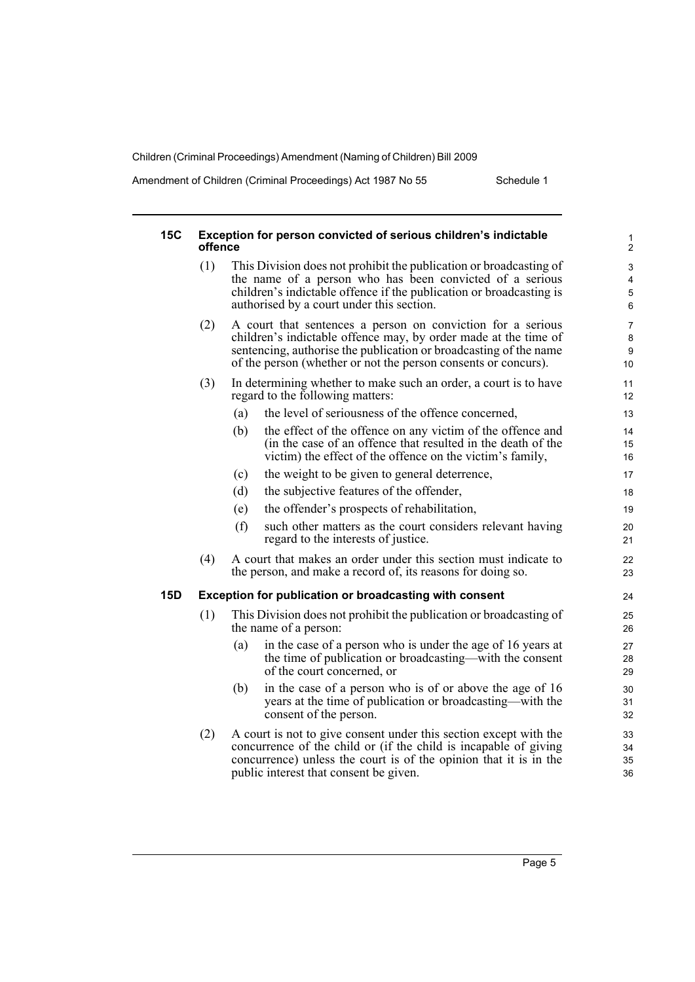Amendment of Children (Criminal Proceedings) Act 1987 No 55 Schedule 1

| <b>15C</b> | Exception for person convicted of serious children's indictable<br>offence |                                                                                                                                                                                                                                                                       |                      |  |  |  |
|------------|----------------------------------------------------------------------------|-----------------------------------------------------------------------------------------------------------------------------------------------------------------------------------------------------------------------------------------------------------------------|----------------------|--|--|--|
|            | (1)                                                                        | This Division does not prohibit the publication or broadcasting of<br>the name of a person who has been convicted of a serious<br>children's indictable offence if the publication or broadcasting is<br>authorised by a court under this section.                    |                      |  |  |  |
|            | (2)                                                                        | A court that sentences a person on conviction for a serious<br>children's indictable offence may, by order made at the time of<br>sentencing, authorise the publication or broadcasting of the name<br>of the person (whether or not the person consents or concurs). |                      |  |  |  |
|            | (3)                                                                        | In determining whether to make such an order, a court is to have<br>regard to the following matters:                                                                                                                                                                  | 11<br>12             |  |  |  |
|            |                                                                            | the level of seriousness of the offence concerned,<br>(a)                                                                                                                                                                                                             | 13                   |  |  |  |
|            |                                                                            | the effect of the offence on any victim of the offence and<br>(b)<br>(in the case of an offence that resulted in the death of the<br>victim) the effect of the offence on the victim's family,                                                                        | 14<br>15<br>16       |  |  |  |
|            |                                                                            | the weight to be given to general deterrence,<br>(c)                                                                                                                                                                                                                  | 17                   |  |  |  |
|            |                                                                            | (d)<br>the subjective features of the offender,                                                                                                                                                                                                                       | 18                   |  |  |  |
|            |                                                                            | the offender's prospects of rehabilitation,<br>(e)                                                                                                                                                                                                                    | 19                   |  |  |  |
|            |                                                                            | (f)<br>such other matters as the court considers relevant having<br>regard to the interests of justice.                                                                                                                                                               | 20<br>21             |  |  |  |
|            | (4)                                                                        | A court that makes an order under this section must indicate to<br>the person, and make a record of, its reasons for doing so.                                                                                                                                        | 22<br>23             |  |  |  |
| <b>15D</b> |                                                                            | <b>Exception for publication or broadcasting with consent</b>                                                                                                                                                                                                         | 24                   |  |  |  |
|            | (1)                                                                        | This Division does not prohibit the publication or broadcasting of<br>the name of a person:                                                                                                                                                                           | 25<br>26             |  |  |  |
|            |                                                                            | (a)<br>in the case of a person who is under the age of 16 years at<br>the time of publication or broadcasting—with the consent<br>of the court concerned, or                                                                                                          | 27<br>28<br>29       |  |  |  |
|            |                                                                            | in the case of a person who is of or above the age of 16<br>(b)<br>years at the time of publication or broadcasting—with the<br>consent of the person.                                                                                                                | 30<br>31<br>32       |  |  |  |
|            | (2)                                                                        | A court is not to give consent under this section except with the<br>concurrence of the child or (if the child is incapable of giving<br>concurrence) unless the court is of the opinion that it is in the<br>public interest that consent be given.                  | 33<br>34<br>35<br>36 |  |  |  |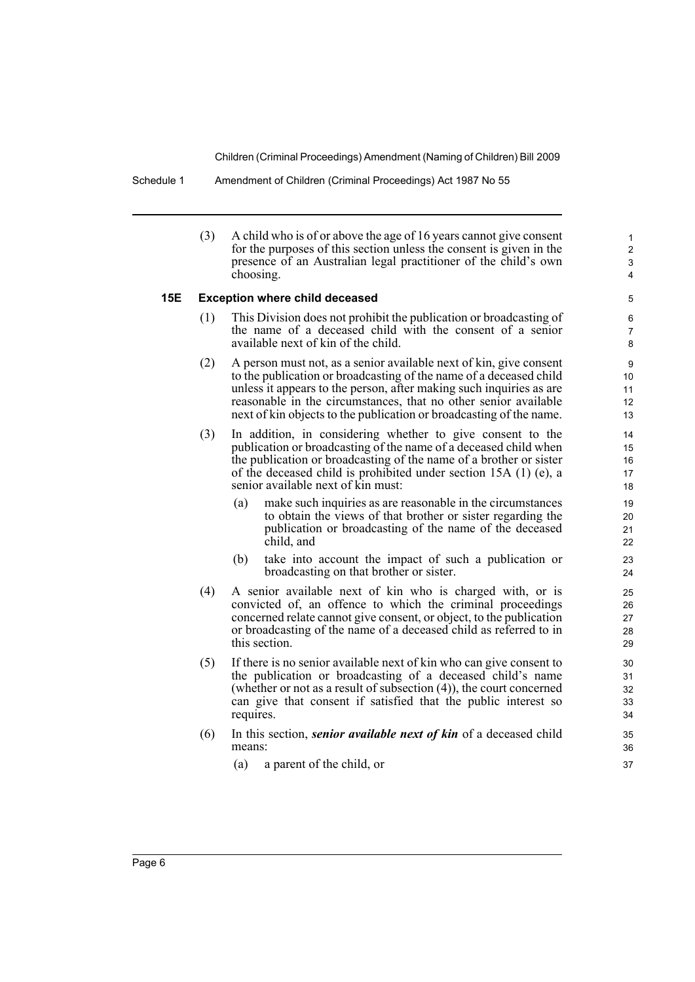Schedule 1 Amendment of Children (Criminal Proceedings) Act 1987 No 55

(3) A child who is of or above the age of 16 years cannot give consent for the purposes of this section unless the consent is given in the presence of an Australian legal practitioner of the child's own choosing.

#### **15E Exception where child deceased**

- (1) This Division does not prohibit the publication or broadcasting of the name of a deceased child with the consent of a senior available next of kin of the child.
- (2) A person must not, as a senior available next of kin, give consent to the publication or broadcasting of the name of a deceased child unless it appears to the person, after making such inquiries as are reasonable in the circumstances, that no other senior available next of kin objects to the publication or broadcasting of the name.
- (3) In addition, in considering whether to give consent to the publication or broadcasting of the name of a deceased child when the publication or broadcasting of the name of a brother or sister of the deceased child is prohibited under section 15A (1) (e), a senior available next of kin must:
	- (a) make such inquiries as are reasonable in the circumstances to obtain the views of that brother or sister regarding the publication or broadcasting of the name of the deceased child, and
	- (b) take into account the impact of such a publication or broadcasting on that brother or sister.
- (4) A senior available next of kin who is charged with, or is convicted of, an offence to which the criminal proceedings concerned relate cannot give consent, or object, to the publication or broadcasting of the name of a deceased child as referred to in this section.
- (5) If there is no senior available next of kin who can give consent to the publication or broadcasting of a deceased child's name (whether or not as a result of subsection (4)), the court concerned can give that consent if satisfied that the public interest so requires.
- (6) In this section, *senior available next of kin* of a deceased child means:
	- (a) a parent of the child, or